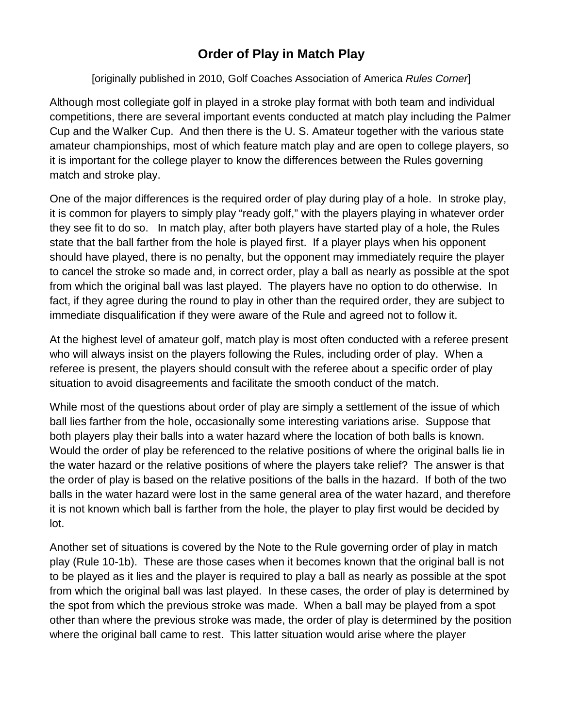## **Order of Play in Match Play**

## [originally published in 2010, Golf Coaches Association of America *Rules Corner*]

Although most collegiate golf in played in a stroke play format with both team and individual competitions, there are several important events conducted at match play including the Palmer Cup and the Walker Cup. And then there is the U. S. Amateur together with the various state amateur championships, most of which feature match play and are open to college players, so it is important for the college player to know the differences between the Rules governing match and stroke play.

One of the major differences is the required order of play during play of a hole. In stroke play, it is common for players to simply play "ready golf," with the players playing in whatever order they see fit to do so. In match play, after both players have started play of a hole, the Rules state that the ball farther from the hole is played first. If a player plays when his opponent should have played, there is no penalty, but the opponent may immediately require the player to cancel the stroke so made and, in correct order, play a ball as nearly as possible at the spot from which the original ball was last played. The players have no option to do otherwise. In fact, if they agree during the round to play in other than the required order, they are subject to immediate disqualification if they were aware of the Rule and agreed not to follow it.

At the highest level of amateur golf, match play is most often conducted with a referee present who will always insist on the players following the Rules, including order of play. When a referee is present, the players should consult with the referee about a specific order of play situation to avoid disagreements and facilitate the smooth conduct of the match.

While most of the questions about order of play are simply a settlement of the issue of which ball lies farther from the hole, occasionally some interesting variations arise. Suppose that both players play their balls into a water hazard where the location of both balls is known. Would the order of play be referenced to the relative positions of where the original balls lie in the water hazard or the relative positions of where the players take relief? The answer is that the order of play is based on the relative positions of the balls in the hazard. If both of the two balls in the water hazard were lost in the same general area of the water hazard, and therefore it is not known which ball is farther from the hole, the player to play first would be decided by lot.

Another set of situations is covered by the Note to the Rule governing order of play in match play (Rule 10-1b). These are those cases when it becomes known that the original ball is not to be played as it lies and the player is required to play a ball as nearly as possible at the spot from which the original ball was last played. In these cases, the order of play is determined by the spot from which the previous stroke was made. When a ball may be played from a spot other than where the previous stroke was made, the order of play is determined by the position where the original ball came to rest. This latter situation would arise where the player